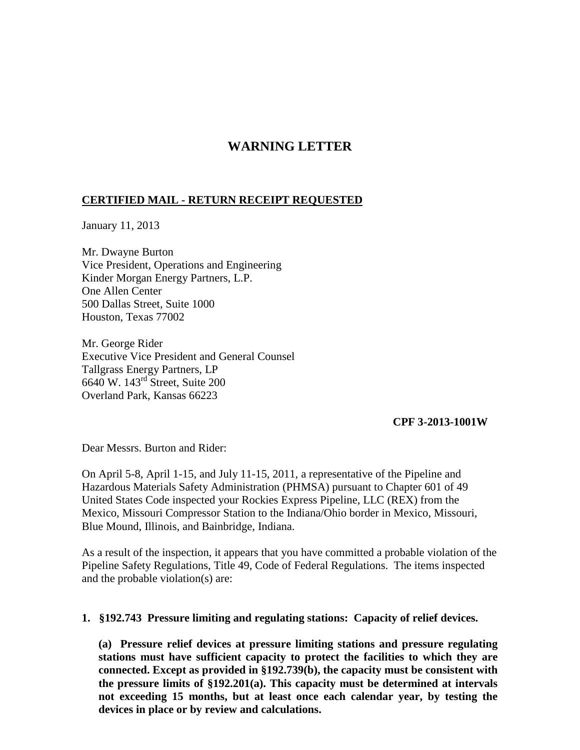## **WARNING LETTER**

## **CERTIFIED MAIL - RETURN RECEIPT REQUESTED**

January 11, 2013

Mr. Dwayne Burton Vice President, Operations and Engineering Kinder Morgan Energy Partners, L.P. One Allen Center 500 Dallas Street, Suite 1000 Houston, Texas 77002

Mr. George Rider Executive Vice President and General Counsel Tallgrass Energy Partners, LP 6640 W. 143rd Street, Suite 200 Overland Park, Kansas 66223

## **CPF 3-2013-1001W**

Dear Messrs. Burton and Rider:

On April 5-8, April 1-15, and July 11-15, 2011, a representative of the Pipeline and Hazardous Materials Safety Administration (PHMSA) pursuant to Chapter 601 of 49 United States Code inspected your Rockies Express Pipeline, LLC (REX) from the Mexico, Missouri Compressor Station to the Indiana/Ohio border in Mexico, Missouri, Blue Mound, Illinois, and Bainbridge, Indiana.

As a result of the inspection, it appears that you have committed a probable violation of the Pipeline Safety Regulations, Title 49, Code of Federal Regulations. The items inspected and the probable violation(s) are:

## **1. §192.743 Pressure limiting and regulating stations: Capacity of relief devices.**

**(a) Pressure relief devices at pressure limiting stations and pressure regulating stations must have sufficient capacity to protect the facilities to which they are connected. Except as provided in §192.739(b), the capacity must be consistent with the pressure limits of §192.201(a). This capacity must be determined at intervals not exceeding 15 months, but at least once each calendar year, by testing the devices in place or by review and calculations.**